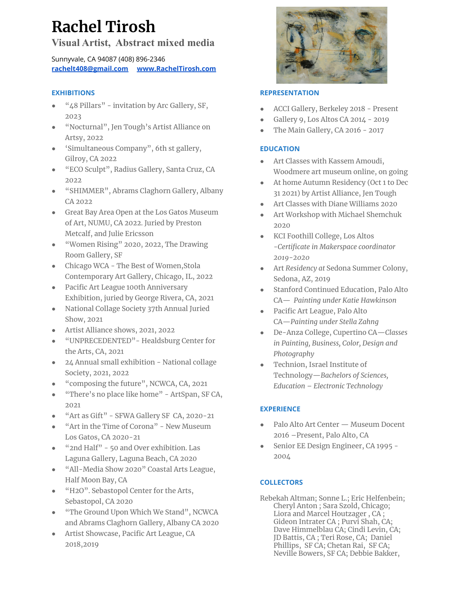# **Rachel Tirosh**

# **Visual Artist, Abstract mixed media**

Sunnyvale, CA 94087 (408) 896-2346 **[rachelt408@gmail.com](mailto:rachelt408@gmail.com) [www.RachelTirosh.com](http://www.mixsome.com)**

## **EXHIBITIONS**

- "48 Pillars" invitation by Arc Gallery, SF, 2023
- "Nocturnal", Jen Tough's Artist Alliance on Artsy, 2022
- 'Simultaneous Company", 6th st gallery, Gilroy, CA 2022
- "ECO Sculpt", Radius Gallery, Santa Cruz, CA 2022
- "SHIMMER", Abrams Claghorn Gallery, Albany CA 2022
- Great Bay Area Open at the Los Gatos Museum of Art, NUMU, CA 2022. Juried by Preston Metcalf, and Julie Ericsson
- "Women Rising" 2020, 2022, The Drawing Room Gallery, SF
- Chicago WCA The Best of Women, Stola Contemporary Art Gallery, Chicago, IL, 2022
- Pacific Art League 100th Anniversary Exhibition, juried by George Rivera, CA, 2021
- National Collage Society 37th Annual Juried Show, 2021
- Artist Alliance shows, 2021, 2022
- "UNPRECEDENTED"- Healdsburg Center for the Arts, CA, 2021
- 24 Annual small exhibition National collage Society, 2021, 2022
- "composing the future", NCWCA, CA, 2021
- "There's no place like home" ArtSpan, SF CA, 2021
- "Art as Gift" SFWA Gallery SF CA, 2020-21
- "Art in the Time of Corona" New Museum Los Gatos, CA 2020-21
- "2nd Half" 50 and Over exhibition. Las Laguna Gallery, Laguna Beach, CA 2020
- "All-Media Show 2020" Coastal Arts League, Half Moon Bay, CA
- "H2O". Sebastopol Center for the Arts, Sebastopol, CA 2020
- "The Ground Upon Which We Stand", NCWCA and Abrams Claghorn Gallery, Albany CA 2020
- Artist Showcase, Pacific Art League, CA 2018,2019



### **REPRESENTATION**

- ACCI Gallery, Berkeley 2018 Present
- Gallery 9, Los Altos CA 2014 2019
- The Main Gallery, CA 2016 2017

#### **EDUCATION**

- Art Classes with Kassem Amoudi, Woodmere art museum online, on going
- At home Autumn Residency (Oct 1 to Dec 31 2021) by Artist Alliance, Jen Tough
- Art Classes with Diane Williams 2020
- Art Workshop with Michael Shemchuk 2020
- KCI Foothill College, Los Altos -*Certificate in Makerspace coordinator 2019-2020*
- Art *Residency at* Sedona Summer Colony, Sedona, AZ, 2019
- Stanford Continued Education, Palo Alto CA— *Painting under Katie Hawkinson*
- Pacific Art League, Palo Alto CA—*Painting under Stella Zahng*
- De-Anza College, Cupertino CA—*Classes in Painting, Business, Color, Design and Photography*
- Technion, Israel Institute of Technology—*Bachelors of Sciences, Education – Electronic Technology*

#### **EXPERIENCE**

- Palo Alto Art Center Museum Docent 2016 –Present, Palo Alto, CA
- Senior EE Design Engineer, CA 1995 -2004

#### **COLLECTORS**

Rebekah Altman; Sonne L.; Eric Helfenbein; Cheryl Anton ; Sara Szold, Chicago; Liora and Marcel Houtzager , CA ; Gideon Intrater CA ; Purvi Shah, CA; Dave Himmelblau CA; Cindi Levin, CA; JD Battis, CA ; Teri Rose, CA; Daniel Phillips, SF CA; Chetan Rai, SF CA; Neville Bowers, SF CA; Debbie Bakker,